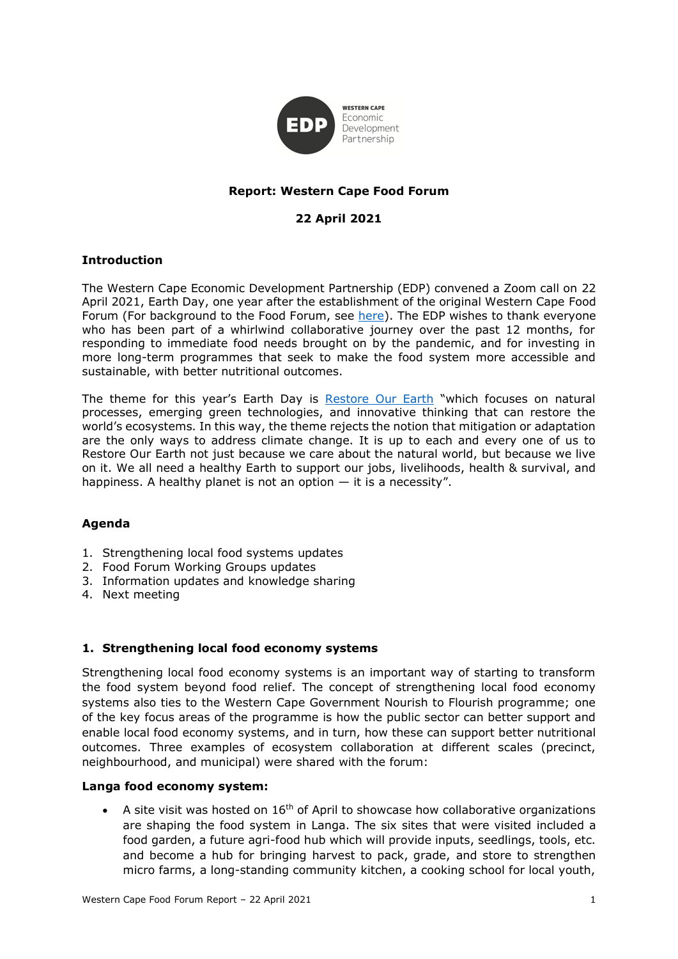

## **Report: Western Cape Food Forum**

# **22 April 2021**

#### **Introduction**

The Western Cape Economic Development Partnership (EDP) convened a Zoom call on 22 April 2021, Earth Day, one year after the establishment of the original Western Cape Food Forum (For background to the Food Forum, see [here\)](https://wcedp.co.za/co-ordinating-food-relief-during-covid-19/). The EDP wishes to thank everyone who has been part of a whirlwind collaborative journey over the past 12 months, for responding to immediate food needs brought on by the pandemic, and for investing in more long-term programmes that seek to make the food system more accessible and sustainable, with better nutritional outcomes.

The theme for this year's Earth Day is [Restore Our Earth](http://earthday.org/) "which focuses on natural processes, emerging green technologies, and innovative thinking that can restore the world's ecosystems. In this way, the theme rejects the notion that mitigation or adaptation are the only ways to address climate change. It is up to each and every one of us to Restore Our Earth not just because we care about the natural world, but because we live on it. We all need a healthy Earth to support our jobs, livelihoods, health & survival, and happiness. A healthy planet is not an option  $-$  it is a necessity".

### **Agenda**

- 1. Strengthening local food systems updates
- 2. Food Forum Working Groups updates
- 3. Information updates and knowledge sharing
- 4. Next meeting

#### **1. Strengthening local food economy systems**

Strengthening local food economy systems is an important way of starting to transform the food system beyond food relief. The concept of strengthening local food economy systems also ties to the Western Cape Government Nourish to Flourish programme; one of the key focus areas of the programme is how the public sector can better support and enable local food economy systems, and in turn, how these can support better nutritional outcomes. Three examples of ecosystem collaboration at different scales (precinct, neighbourhood, and municipal) were shared with the forum:

#### **Langa food economy system:**

A site visit was hosted on  $16<sup>th</sup>$  of April to showcase how collaborative organizations are shaping the food system in Langa. The six sites that were visited included a food garden, a future agri-food hub which will provide inputs, seedlings, tools, etc. and become a hub for bringing harvest to pack, grade, and store to strengthen micro farms, a long-standing community kitchen, a cooking school for local youth,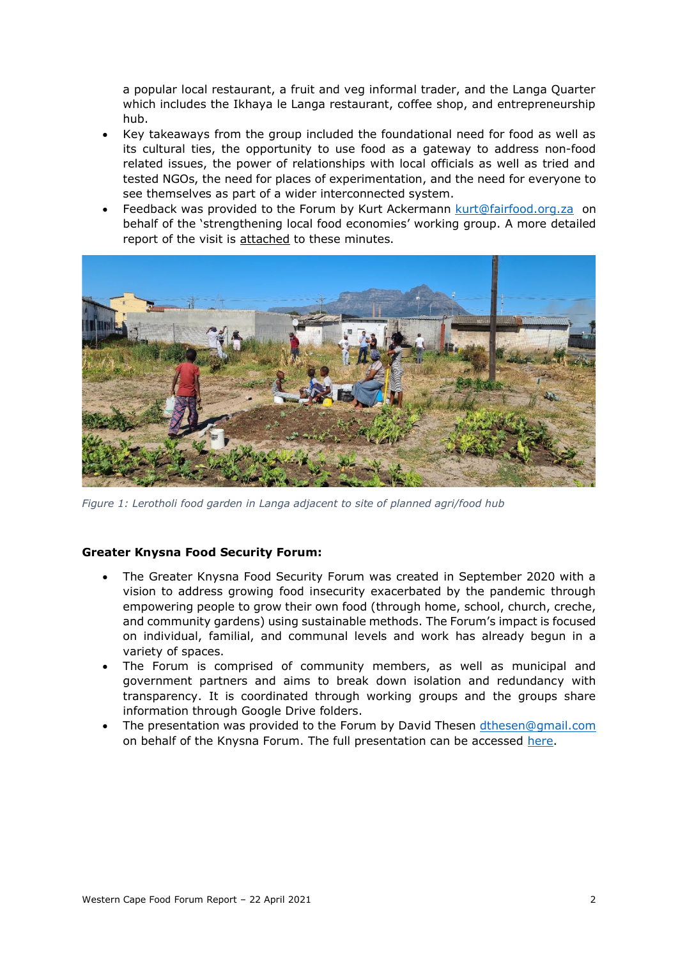a popular local restaurant, a fruit and veg informal trader, and the Langa Quarter which includes the Ikhaya le Langa restaurant, coffee shop, and entrepreneurship hub.

- Key takeaways from the group included the foundational need for food as well as its cultural ties, the opportunity to use food as a gateway to address non-food related issues, the power of relationships with local officials as well as tried and tested NGOs, the need for places of experimentation, and the need for everyone to see themselves as part of a wider interconnected system.
- Feedback was provided to the Forum by Kurt Ackermann [kurt@fairfood.org.za](mailto:kurt@fairfood.org.za) on behalf of the 'strengthening local food economies' working group. A more detailed report of the visit is attached to these minutes.



*Figure 1: Lerotholi food garden in Langa adjacent to site of planned agri/food hub*

### **Greater Knysna Food Security Forum:**

- The Greater Knysna Food Security Forum was created in September 2020 with a vision to address growing food insecurity exacerbated by the pandemic through empowering people to grow their own food (through home, school, church, creche, and community gardens) using sustainable methods. The Forum's impact is focused on individual, familial, and communal levels and work has already begun in a variety of spaces.
- The Forum is comprised of community members, as well as municipal and government partners and aims to break down isolation and redundancy with transparency. It is coordinated through working groups and the groups share information through Google Drive folders.
- The presentation was provided to the Forum by David Thesen [dthesen@gmail.com](mailto:dthesen@gmail.com) on behalf of the Knysna Forum. The full presentation can be accessed [here.](https://drive.google.com/file/d/1Y_dWgZpRe2BLfyGQTA7KXurITh2f_8Q0/view)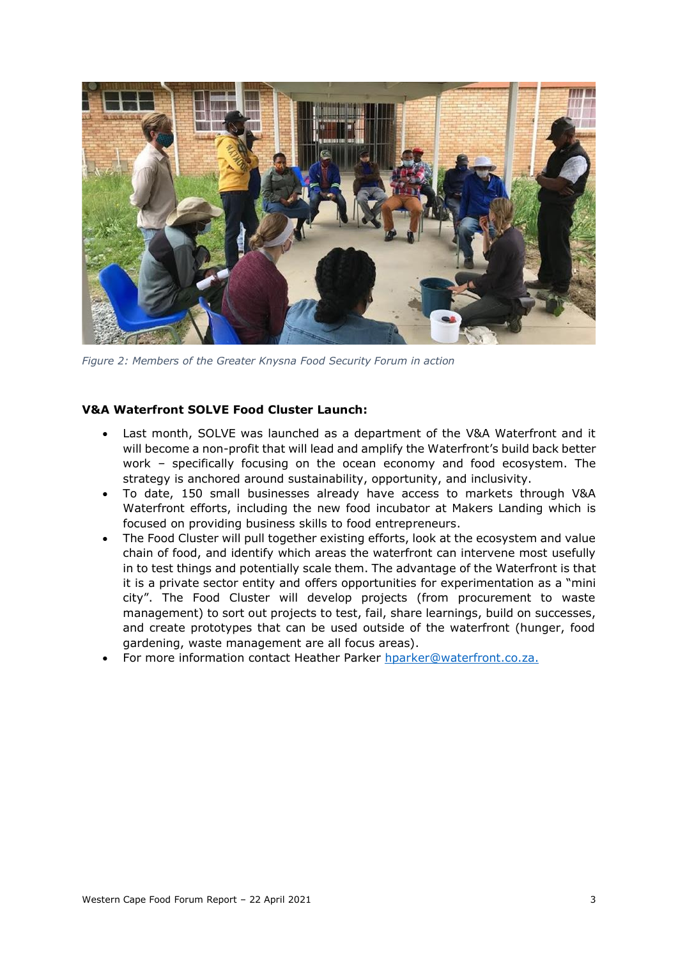

*Figure 2: Members of the Greater Knysna Food Security Forum in action*

#### **V&A Waterfront SOLVE Food Cluster Launch:**

- Last month, SOLVE was launched as a department of the V&A Waterfront and it will become a non-profit that will lead and amplify the Waterfront's build back better work – specifically focusing on the ocean economy and food ecosystem. The strategy is anchored around sustainability, opportunity, and inclusivity.
- To date, 150 small businesses already have access to markets through V&A Waterfront efforts, including the new food incubator at Makers Landing which is focused on providing business skills to food entrepreneurs.
- The Food Cluster will pull together existing efforts, look at the ecosystem and value chain of food, and identify which areas the waterfront can intervene most usefully in to test things and potentially scale them. The advantage of the Waterfront is that it is a private sector entity and offers opportunities for experimentation as a "mini city". The Food Cluster will develop projects (from procurement to waste management) to sort out projects to test, fail, share learnings, build on successes, and create prototypes that can be used outside of the waterfront (hunger, food gardening, waste management are all focus areas).
- For more information contact Heather Parker [hparker@waterfront.co.za.](mailto:hparker@waterfront.co.za)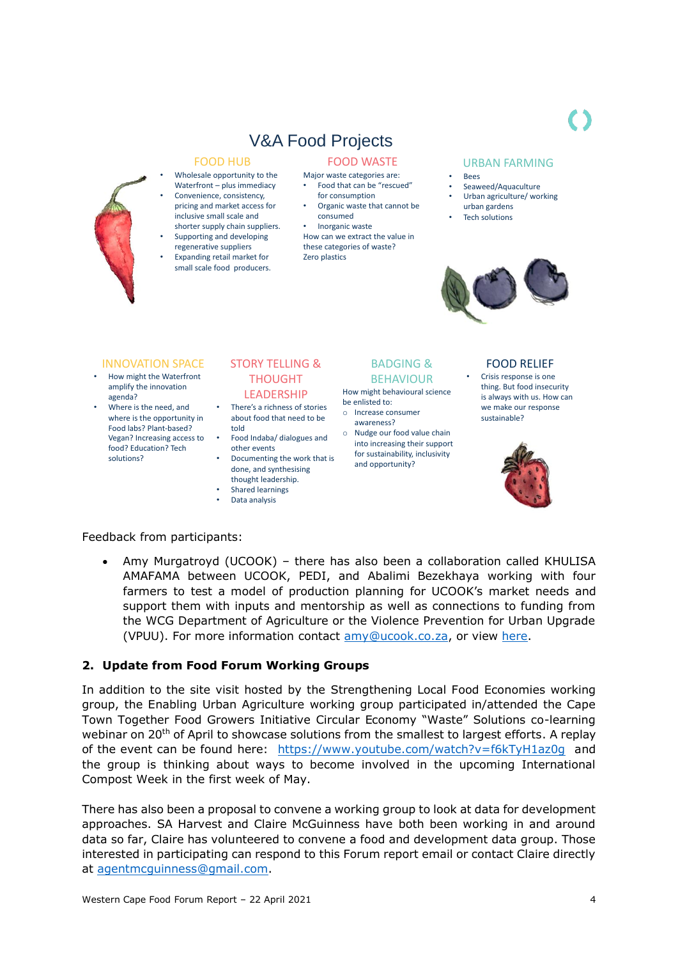# V&A Food Projects

#### FOOD HUB

- Wholesale opportunity to the Waterfront – plus immediacy
- Convenience, consistency, pricing and market access for inclusive small scale and shorter supply chain suppliers.
- Supporting and developing regenerative suppliers • Expanding retail market for small scale food producers.

#### FOOD WASTE

- Major waste categories are: • Food that can be "rescued"
- for consumption • Organic waste that cannot be
- consumed • Inorganic waste
- How can we extract the value in these categories of waste? Zero plastics

#### URBAN FARMING

- Bees
- Seaweed/Aquaculture Urban agriculture/ working
- urban gardens
- Tech solutions



#### INNOVATION SPACE

- How might the Waterfront amplify the innovation agenda?
- Where is the need, and where is the opportunity in Food labs? Plant-based? Vegan? Increasing access to food? Education? Tech solutions?

#### STORY TELLING & THOUGHT LEADERSHIP

- There's a richness of stories about food that need to be told
- Food Indaba/ dialogues and other events
- Documenting the work that is done, and synthesising thought leadership.
- Shared learnings
- Data analysis

# BADGING & BEHAVIOUR

How might behavioural science be enlisted to: o Increase consumer

- awareness?
- o Nudge our food value chain into increasing their support for sustainability, inclusivity and opportunity?

#### FOOD RELIEF

2 • Crisis response is one thing. But food insecurity is always with us. How can we make our response sustainable?



Feedback from participants:

• Amy Murgatroyd (UCOOK) – there has also been a collaboration called KHULISA AMAFAMA between UCOOK, PEDI, and Abalimi Bezekhaya working with four 3 farmers to test a model of production planning for UCOOK's market needs and support them with inputs and mentorship as well as connections to funding from the WCG Department of Agriculture or the Violence Prevention for Urban Upgrade (VPUU). For more information contact  $\frac{am}{\omega}$ ucook.co.za, or view [here.](https://ucook.co.za/good)

### **2. Update from Food Forum Working Groups**

In addition to the site visit hosted by the Strengthening Local Food Economies working group, the Enabling Urban Agriculture working group participated in/attended the Cape Town Together Food Growers Initiative Circular Economy "Waste" Solutions co-learning webinar on 20<sup>th</sup> of April to showcase solutions from the smallest to largest efforts. A replay of the event can be found here: <https://www.youtube.com/watch?v=f6kTyH1az0g>and the group is thinking about ways to become involved in the upcoming International Compost Week in the first week of May.

There has also been a proposal to convene a working group to look at data for development approaches. SA Harvest and Claire McGuinness have both been working in and around data so far, Claire has volunteered to convene a food and development data group. Those interested in participating can respond to this Forum report email or contact Claire directly at [agentmcguinness@gmail.com.](mailto:agentmcguinness@gmail.com)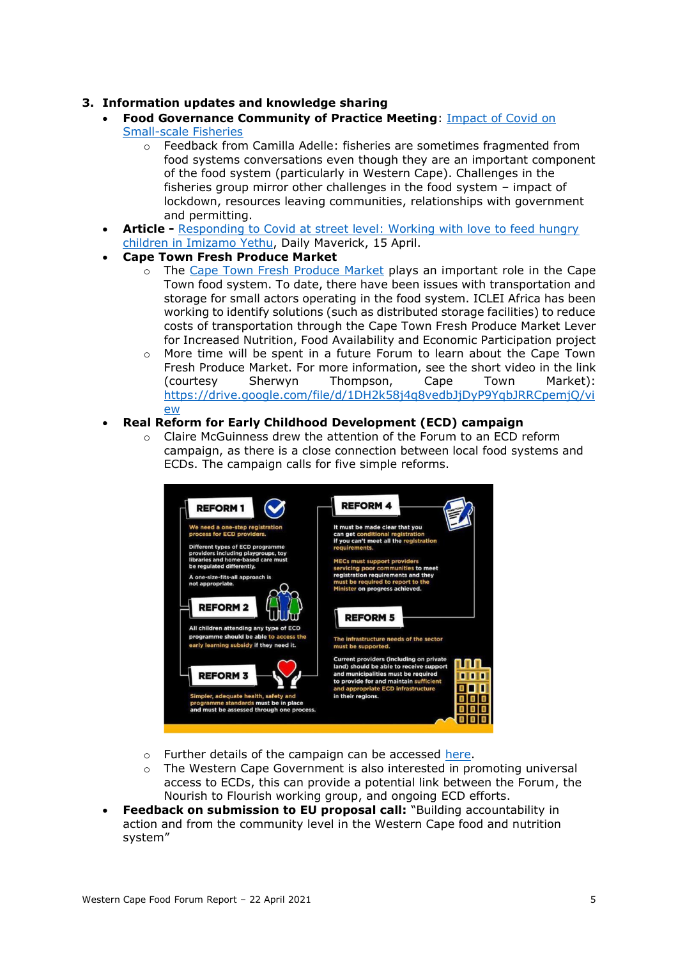### **3. Information updates and knowledge sharing**

- **Food Governance Community of Practice Meeting**: [Impact of Covid on](https://foodsecurity.ac.za/news/small-scale-fishers-not-in-the-same-boat-as-commercial-fisheries/)  [Small-scale Fisheries](https://foodsecurity.ac.za/news/small-scale-fishers-not-in-the-same-boat-as-commercial-fisheries/)
	- o Feedback from Camilla Adelle: fisheries are sometimes fragmented from food systems conversations even though they are an important component of the food system (particularly in Western Cape). Challenges in the fisheries group mirror other challenges in the food system – impact of lockdown, resources leaving communities, relationships with government and permitting.
- **Article -** [Responding to Covid at street level: Working with love to feed hungry](https://www.dailymaverick.co.za/article/2021-04-15-responding-to-covid-at-street-level-working-with-love-to-feed-hungry-children-in-imizamo-yethu/)  [children in Imizamo](https://www.dailymaverick.co.za/article/2021-04-15-responding-to-covid-at-street-level-working-with-love-to-feed-hungry-children-in-imizamo-yethu/) Yethu, Daily Maverick, 15 April.
- **Cape Town Fresh Produce Market**
	- o The [Cape Town Fresh Produce Market](http://www.ctmarket.co.za/) plays an important role in the Cape Town food system. To date, there have been issues with transportation and storage for small actors operating in the food system. ICLEI Africa has been working to identify solutions (such as distributed storage facilities) to reduce costs of transportation through the Cape Town Fresh Produce Market Lever for Increased Nutrition, Food Availability and Economic Participation project
	- More time will be spent in a future Forum to learn about the Cape Town Fresh Produce Market. For more information, see the short video in the link (courtesy Sherwyn Thompson, Cape Town Market): [https://drive.google.com/file/d/1DH2k58j4q8vedbJjDyP9YqbJRRCpemjQ/vi](https://drive.google.com/file/d/1DH2k58j4q8vedbJjDyP9YqbJRRCpemjQ/view) [ew](https://drive.google.com/file/d/1DH2k58j4q8vedbJjDyP9YqbJRRCpemjQ/view)
- **Real Reform for Early Childhood Development (ECD) campaign**
	- o Claire McGuinness drew the attention of the Forum to an ECD reform campaign, as there is a close connection between local food systems and ECDs. The campaign calls for five simple reforms.



- o Further details of the campaign can be accessed [here.](https://www.ecdreform.org.za/)
- $\circ$  The Western Cape Government is also interested in promoting universal access to ECDs, this can provide a potential link between the Forum, the Nourish to Flourish working group, and ongoing ECD efforts.
- **Feedback on submission to EU proposal call:** "Building accountability in action and from the community level in the Western Cape food and nutrition system"